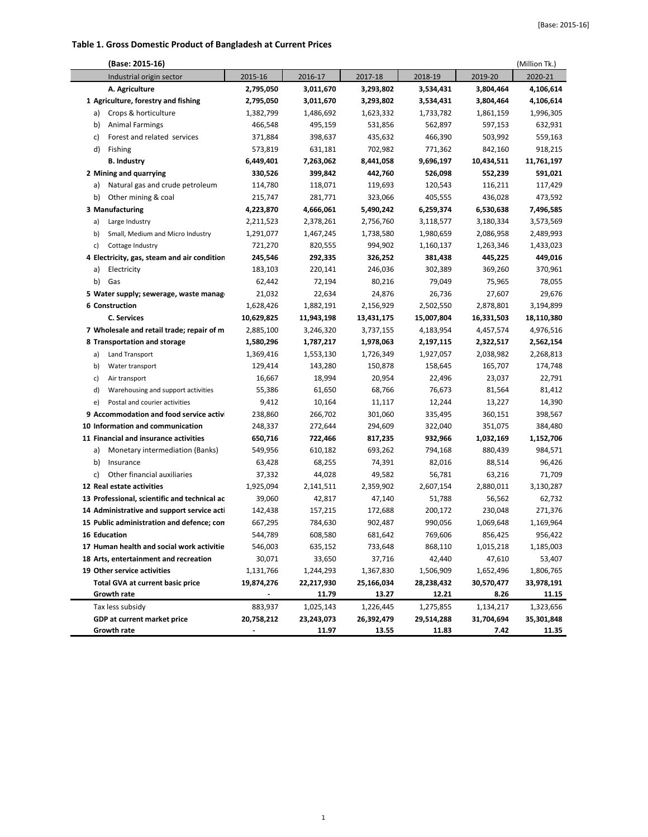## **Table 1. Gross Domestic Product of Bangladesh at Current Prices**

| (Base: 2015-16)                              |            |            |            |            |            | (Million Tk.) |
|----------------------------------------------|------------|------------|------------|------------|------------|---------------|
| Industrial origin sector                     | 2015-16    | 2016-17    | 2017-18    | 2018-19    | 2019-20    | 2020-21       |
| A. Agriculture                               | 2,795,050  | 3,011,670  | 3,293,802  | 3,534,431  | 3,804,464  | 4,106,614     |
| 1 Agriculture, forestry and fishing          | 2,795,050  | 3,011,670  | 3,293,802  | 3,534,431  | 3,804,464  | 4,106,614     |
| Crops & horticulture<br>a)                   | 1,382,799  | 1,486,692  | 1,623,332  | 1,733,782  | 1,861,159  | 1,996,305     |
| b)<br><b>Animal Farmings</b>                 | 466,548    | 495,159    | 531,856    | 562,897    | 597,153    | 632,931       |
| Forest and related services<br>c)            | 371,884    | 398,637    | 435,632    | 466,390    | 503,992    | 559,163       |
| d)<br>Fishing                                | 573,819    | 631,181    | 702,982    | 771,362    | 842,160    | 918,215       |
| <b>B. Industry</b>                           | 6,449,401  | 7,263,062  | 8,441,058  | 9,696,197  | 10,434,511 | 11,761,197    |
| 2 Mining and quarrying                       | 330,526    | 399,842    | 442,760    | 526,098    | 552,239    | 591,021       |
| Natural gas and crude petroleum<br>a)        | 114,780    | 118,071    | 119,693    | 120,543    | 116,211    | 117,429       |
| b)<br>Other mining & coal                    | 215,747    | 281,771    | 323,066    | 405,555    | 436,028    | 473,592       |
| 3 Manufacturing                              | 4,223,870  | 4,666,061  | 5,490,242  | 6,259,374  | 6,530,638  | 7,496,585     |
| Large Industry<br>a)                         | 2,211,523  | 2,378,261  | 2,756,760  | 3,118,577  | 3,180,334  | 3,573,569     |
| b)<br>Small, Medium and Micro Industry       | 1,291,077  | 1,467,245  | 1,738,580  | 1,980,659  | 2,086,958  | 2,489,993     |
| c)<br>Cottage Industry                       | 721,270    | 820,555    | 994,902    | 1,160,137  | 1,263,346  | 1,433,023     |
| 4 Electricity, gas, steam and air condition  | 245,546    | 292,335    | 326,252    | 381,438    | 445,225    | 449,016       |
| Electricity<br>a)                            | 183,103    | 220,141    | 246,036    | 302,389    | 369,260    | 370,961       |
| b)<br>Gas                                    | 62,442     | 72,194     | 80,216     | 79,049     | 75,965     | 78,055        |
| 5 Water supply; sewerage, waste manag        | 21,032     | 22,634     | 24,876     | 26,736     | 27,607     | 29,676        |
| 6 Construction                               | 1,628,426  | 1,882,191  | 2,156,929  | 2,502,550  | 2,878,801  | 3,194,899     |
| <b>C. Services</b>                           | 10,629,825 | 11,943,198 | 13,431,175 | 15,007,804 | 16,331,503 | 18,110,380    |
| 7 Wholesale and retail trade; repair of m    | 2,885,100  | 3,246,320  | 3,737,155  | 4,183,954  | 4,457,574  | 4,976,516     |
| 8 Transportation and storage                 | 1,580,296  | 1,787,217  | 1,978,063  | 2,197,115  | 2,322,517  | 2,562,154     |
| Land Transport<br>a)                         | 1,369,416  | 1,553,130  | 1,726,349  | 1,927,057  | 2,038,982  | 2,268,813     |
| b)<br>Water transport                        | 129,414    | 143,280    | 150,878    | 158,645    | 165,707    | 174,748       |
| c)<br>Air transport                          | 16,667     | 18,994     | 20,954     | 22,496     | 23,037     | 22,791        |
| d)<br>Warehousing and support activities     | 55,386     | 61,650     | 68,766     | 76,673     | 81,564     | 81,412        |
| e)<br>Postal and courier activities          | 9,412      | 10,164     | 11,117     | 12,244     | 13,227     | 14,390        |
| 9 Accommodation and food service activ       | 238,860    | 266,702    | 301,060    | 335,495    | 360,151    | 398,567       |
| 10 Information and communication             | 248,337    | 272,644    | 294,609    | 322,040    | 351,075    | 384,480       |
| 11 Financial and insurance activities        | 650,716    | 722,466    | 817,235    | 932,966    | 1,032,169  | 1,152,706     |
| Monetary intermediation (Banks)<br>a)        | 549,956    | 610,182    | 693,262    | 794,168    | 880,439    | 984,571       |
| b)<br>Insurance                              | 63,428     | 68,255     | 74,391     | 82,016     | 88,514     | 96,426        |
| c)<br>Other financial auxiliaries            | 37,332     | 44,028     | 49,582     | 56,781     | 63,216     | 71,709        |
| 12 Real estate activities                    | 1,925,094  | 2,141,511  | 2,359,902  | 2,607,154  | 2,880,011  | 3,130,287     |
| 13 Professional, scientific and technical ac | 39,060     | 42,817     | 47,140     | 51,788     | 56,562     | 62,732        |
| 14 Administrative and support service acti   | 142,438    | 157,215    | 172,688    | 200,172    | 230,048    | 271,376       |
| 15 Public administration and defence; con    | 667,295    | 784,630    | 902,487    | 990,056    | 1,069,648  | 1,169,964     |
| 16 Education                                 | 544,789    | 608,580    | 681,642    | 769,606    | 856,425    | 956,422       |
| 17 Human health and social work activitie    | 546,003    | 635,152    | 733,648    | 868,110    | 1,015,218  | 1,185,003     |
| 18 Arts, entertainment and recreation        | 30,071     | 33,650     | 37,716     | 42,440     | 47,610     | 53,407        |
| 19 Other service activities                  | 1,131,766  | 1,244,293  | 1,367,830  | 1,506,909  | 1,652,496  | 1,806,765     |
| <b>Total GVA at current basic price</b>      | 19,874,276 | 22,217,930 | 25,166,034 | 28,238,432 | 30,570,477 | 33,978,191    |
| <b>Growth rate</b>                           |            | 11.79      | 13.27      | 12.21      | 8.26       | 11.15         |
| Tax less subsidy                             | 883,937    | 1,025,143  | 1,226,445  | 1,275,855  | 1,134,217  | 1,323,656     |
| GDP at current market price                  | 20,758,212 | 23,243,073 | 26,392,479 | 29,514,288 | 31,704,694 | 35,301,848    |
| <b>Growth rate</b>                           |            | 11.97      | 13.55      | 11.83      | 7.42       | 11.35         |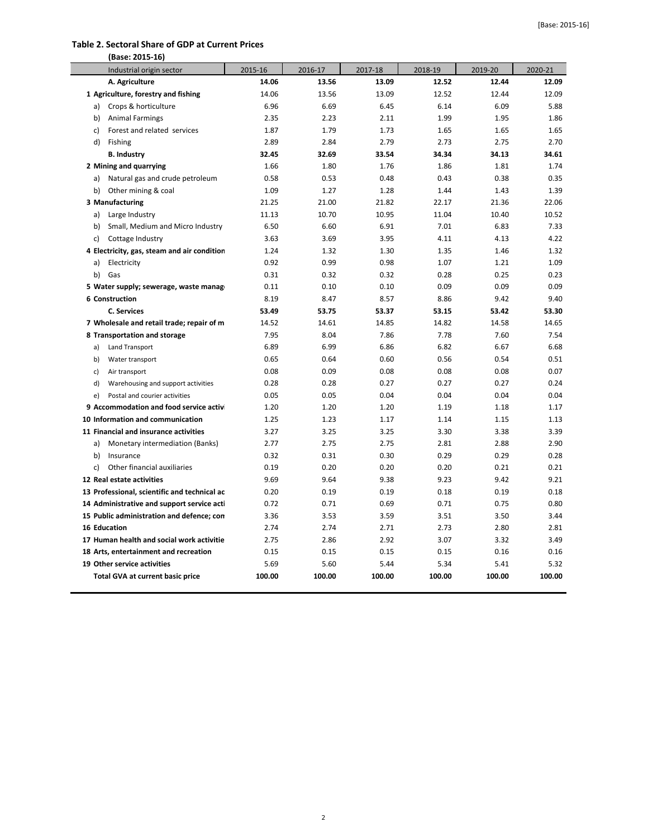### **Table 2. Sectoral Share of GDP at Current Prices**

| (Base: 2015-16)                              |         |         |         |         |         |         |
|----------------------------------------------|---------|---------|---------|---------|---------|---------|
| Industrial origin sector                     | 2015-16 | 2016-17 | 2017-18 | 2018-19 | 2019-20 | 2020-21 |
| A. Agriculture                               | 14.06   | 13.56   | 13.09   | 12.52   | 12.44   | 12.09   |
| 1 Agriculture, forestry and fishing          | 14.06   | 13.56   | 13.09   | 12.52   | 12.44   | 12.09   |
| a) Crops & horticulture                      | 6.96    | 6.69    | 6.45    | 6.14    | 6.09    | 5.88    |
| <b>Animal Farmings</b><br>b)                 | 2.35    | 2.23    | 2.11    | 1.99    | 1.95    | 1.86    |
| Forest and related services<br>c)            | 1.87    | 1.79    | 1.73    | 1.65    | 1.65    | 1.65    |
| d)<br>Fishing                                | 2.89    | 2.84    | 2.79    | 2.73    | 2.75    | 2.70    |
| <b>B. Industry</b>                           | 32.45   | 32.69   | 33.54   | 34.34   | 34.13   | 34.61   |
| 2 Mining and quarrying                       | 1.66    | 1.80    | 1.76    | 1.86    | 1.81    | 1.74    |
| Natural gas and crude petroleum<br>a)        | 0.58    | 0.53    | 0.48    | 0.43    | 0.38    | 0.35    |
| b) Other mining & coal                       | 1.09    | 1.27    | 1.28    | 1.44    | 1.43    | 1.39    |
| 3 Manufacturing                              | 21.25   | 21.00   | 21.82   | 22.17   | 21.36   | 22.06   |
| Large Industry<br>a)                         | 11.13   | 10.70   | 10.95   | 11.04   | 10.40   | 10.52   |
| Small, Medium and Micro Industry<br>b)       | 6.50    | 6.60    | 6.91    | 7.01    | 6.83    | 7.33    |
| Cottage Industry<br>c)                       | 3.63    | 3.69    | 3.95    | 4.11    | 4.13    | 4.22    |
| 4 Electricity, gas, steam and air condition  | 1.24    | 1.32    | 1.30    | 1.35    | 1.46    | 1.32    |
| Electricity<br>a)                            | 0.92    | 0.99    | 0.98    | 1.07    | 1.21    | 1.09    |
| Gas<br>b)                                    | 0.31    | 0.32    | 0.32    | 0.28    | 0.25    | 0.23    |
| 5 Water supply; sewerage, waste manag        | 0.11    | 0.10    | 0.10    | 0.09    | 0.09    | 0.09    |
| 6 Construction                               | 8.19    | 8.47    | 8.57    | 8.86    | 9.42    | 9.40    |
| <b>C. Services</b>                           | 53.49   | 53.75   | 53.37   | 53.15   | 53.42   | 53.30   |
| 7 Wholesale and retail trade; repair of m    | 14.52   | 14.61   | 14.85   | 14.82   | 14.58   | 14.65   |
| 8 Transportation and storage                 | 7.95    | 8.04    | 7.86    | 7.78    | 7.60    | 7.54    |
| a)<br>Land Transport                         | 6.89    | 6.99    | 6.86    | 6.82    | 6.67    | 6.68    |
| b)<br>Water transport                        | 0.65    | 0.64    | 0.60    | 0.56    | 0.54    | 0.51    |
| c)<br>Air transport                          | 0.08    | 0.09    | 0.08    | 0.08    | 0.08    | 0.07    |
| Warehousing and support activities<br>d)     | 0.28    | 0.28    | 0.27    | 0.27    | 0.27    | 0.24    |
| Postal and courier activities<br>e)          | 0.05    | 0.05    | 0.04    | 0.04    | 0.04    | 0.04    |
| 9 Accommodation and food service activ       | 1.20    | 1.20    | 1.20    | 1.19    | 1.18    | 1.17    |
| 10 Information and communication             | 1.25    | 1.23    | 1.17    | 1.14    | 1.15    | 1.13    |
| 11 Financial and insurance activities        | 3.27    | 3.25    | 3.25    | 3.30    | 3.38    | 3.39    |
| Monetary intermediation (Banks)<br>a)        | 2.77    | 2.75    | 2.75    | 2.81    | 2.88    | 2.90    |
| b)<br>Insurance                              | 0.32    | 0.31    | 0.30    | 0.29    | 0.29    | 0.28    |
| c)<br>Other financial auxiliaries            | 0.19    | 0.20    | 0.20    | 0.20    | 0.21    | 0.21    |
| 12 Real estate activities                    | 9.69    | 9.64    | 9.38    | 9.23    | 9.42    | 9.21    |
| 13 Professional, scientific and technical ac | 0.20    | 0.19    | 0.19    | 0.18    | 0.19    | 0.18    |
| 14 Administrative and support service acti   | 0.72    | 0.71    | 0.69    | 0.71    | 0.75    | 0.80    |
| 15 Public administration and defence; con    | 3.36    | 3.53    | 3.59    | 3.51    | 3.50    | 3.44    |
| 16 Education                                 | 2.74    | 2.74    | 2.71    | 2.73    | 2.80    | 2.81    |
| 17 Human health and social work activitie    | 2.75    | 2.86    | 2.92    | 3.07    | 3.32    | 3.49    |
| 18 Arts, entertainment and recreation        | 0.15    | 0.15    | 0.15    | 0.15    | 0.16    | 0.16    |
| 19 Other service activities                  | 5.69    | 5.60    | 5.44    | 5.34    | 5.41    | 5.32    |
| Total GVA at current basic price             | 100.00  | 100.00  | 100.00  | 100.00  | 100.00  | 100.00  |
|                                              |         |         |         |         |         |         |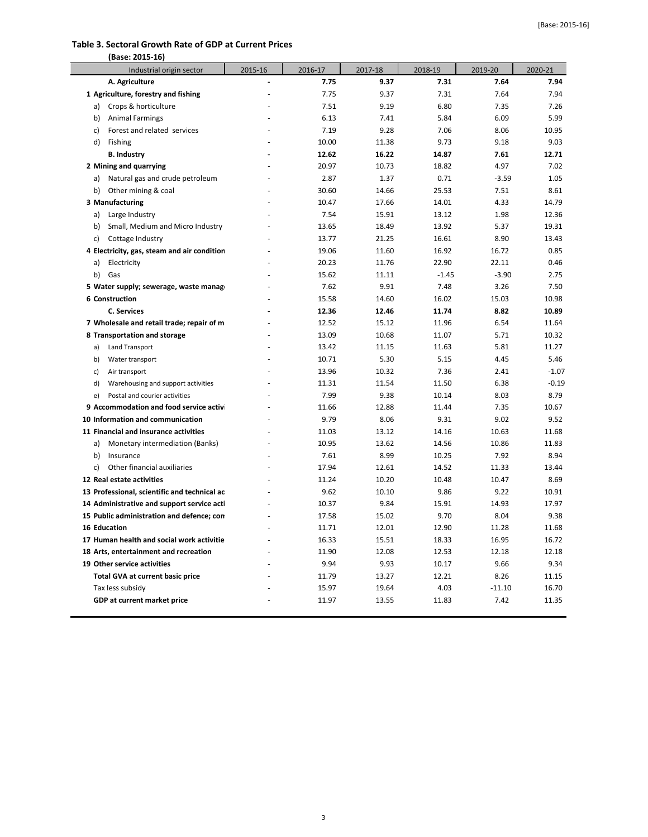#### **Table 3. Sectoral Growth Rate of GDP at Current Prices**

| (Base: 2015-16)                              |         |         |         |         |          |         |
|----------------------------------------------|---------|---------|---------|---------|----------|---------|
| Industrial origin sector                     | 2015-16 | 2016-17 | 2017-18 | 2018-19 | 2019-20  | 2020-21 |
| A. Agriculture                               |         | 7.75    | 9.37    | 7.31    | 7.64     | 7.94    |
| 1 Agriculture, forestry and fishing          |         | 7.75    | 9.37    | 7.31    | 7.64     | 7.94    |
| Crops & horticulture<br>a)                   |         | 7.51    | 9.19    | 6.80    | 7.35     | 7.26    |
| <b>Animal Farmings</b><br>b)                 |         | 6.13    | 7.41    | 5.84    | 6.09     | 5.99    |
| Forest and related services<br>c)            |         | 7.19    | 9.28    | 7.06    | 8.06     | 10.95   |
| d)<br>Fishing                                |         | 10.00   | 11.38   | 9.73    | 9.18     | 9.03    |
| <b>B. Industry</b>                           |         | 12.62   | 16.22   | 14.87   | 7.61     | 12.71   |
| 2 Mining and quarrying                       |         | 20.97   | 10.73   | 18.82   | 4.97     | 7.02    |
| Natural gas and crude petroleum<br>a)        |         | 2.87    | 1.37    | 0.71    | $-3.59$  | 1.05    |
| b)<br>Other mining & coal                    |         | 30.60   | 14.66   | 25.53   | 7.51     | 8.61    |
| 3 Manufacturing                              |         | 10.47   | 17.66   | 14.01   | 4.33     | 14.79   |
| a)<br>Large Industry                         |         | 7.54    | 15.91   | 13.12   | 1.98     | 12.36   |
| Small, Medium and Micro Industry<br>b)       |         | 13.65   | 18.49   | 13.92   | 5.37     | 19.31   |
| Cottage Industry<br>c)                       |         | 13.77   | 21.25   | 16.61   | 8.90     | 13.43   |
| 4 Electricity, gas, steam and air condition  |         | 19.06   | 11.60   | 16.92   | 16.72    | 0.85    |
| Electricity<br>a)                            |         | 20.23   | 11.76   | 22.90   | 22.11    | 0.46    |
| b)<br>Gas                                    |         | 15.62   | 11.11   | $-1.45$ | $-3.90$  | 2.75    |
| 5 Water supply; sewerage, waste manage       |         | 7.62    | 9.91    | 7.48    | 3.26     | 7.50    |
| 6 Construction                               |         | 15.58   | 14.60   | 16.02   | 15.03    | 10.98   |
| <b>C. Services</b>                           |         | 12.36   | 12.46   | 11.74   | 8.82     | 10.89   |
| 7 Wholesale and retail trade; repair of m    |         | 12.52   | 15.12   | 11.96   | 6.54     | 11.64   |
| 8 Transportation and storage                 |         | 13.09   | 10.68   | 11.07   | 5.71     | 10.32   |
| Land Transport<br>a)                         |         | 13.42   | 11.15   | 11.63   | 5.81     | 11.27   |
| Water transport<br>b)                        |         | 10.71   | 5.30    | 5.15    | 4.45     | 5.46    |
| Air transport<br>c)                          |         | 13.96   | 10.32   | 7.36    | 2.41     | $-1.07$ |
| d)<br>Warehousing and support activities     |         | 11.31   | 11.54   | 11.50   | 6.38     | $-0.19$ |
| e)<br>Postal and courier activities          |         | 7.99    | 9.38    | 10.14   | 8.03     | 8.79    |
| 9 Accommodation and food service activ       |         | 11.66   | 12.88   | 11.44   | 7.35     | 10.67   |
| 10 Information and communication             |         | 9.79    | 8.06    | 9.31    | 9.02     | 9.52    |
| 11 Financial and insurance activities        |         | 11.03   | 13.12   | 14.16   | 10.63    | 11.68   |
| Monetary intermediation (Banks)<br>a)        |         | 10.95   | 13.62   | 14.56   | 10.86    | 11.83   |
| b)<br>Insurance                              |         | 7.61    | 8.99    | 10.25   | 7.92     | 8.94    |
| Other financial auxiliaries<br>c)            |         | 17.94   | 12.61   | 14.52   | 11.33    | 13.44   |
| 12 Real estate activities                    |         | 11.24   | 10.20   | 10.48   | 10.47    | 8.69    |
| 13 Professional, scientific and technical ac |         | 9.62    | 10.10   | 9.86    | 9.22     | 10.91   |
| 14 Administrative and support service acti   |         | 10.37   | 9.84    | 15.91   | 14.93    | 17.97   |
| 15 Public administration and defence; con    |         | 17.58   | 15.02   | 9.70    | 8.04     | 9.38    |
| 16 Education                                 |         | 11.71   | 12.01   | 12.90   | 11.28    | 11.68   |
| 17 Human health and social work activitie    |         | 16.33   | 15.51   | 18.33   | 16.95    | 16.72   |
| 18 Arts, entertainment and recreation        |         | 11.90   | 12.08   | 12.53   | 12.18    | 12.18   |
| 19 Other service activities                  |         | 9.94    | 9.93    | 10.17   | 9.66     | 9.34    |
| Total GVA at current basic price             |         | 11.79   | 13.27   | 12.21   | 8.26     | 11.15   |
| Tax less subsidy                             |         | 15.97   | 19.64   | 4.03    | $-11.10$ | 16.70   |
| GDP at current market price                  |         | 11.97   | 13.55   | 11.83   | 7.42     | 11.35   |
|                                              |         |         |         |         |          |         |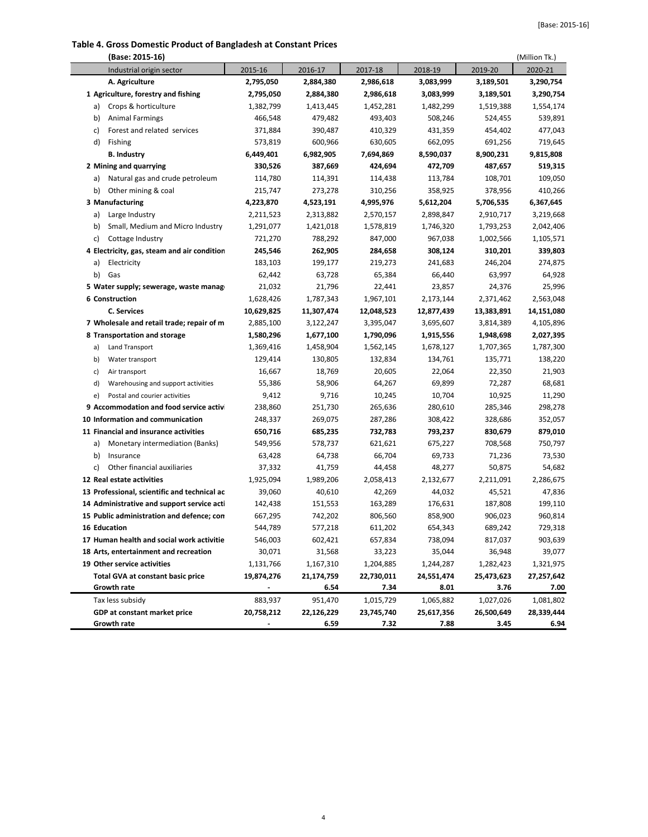#### **Table 4. Gross Domestic Product of Bangladesh at Constant Prices**

|    | (Base: 2015-16)                              |            |            |            |            |            | (Million Tk.) |
|----|----------------------------------------------|------------|------------|------------|------------|------------|---------------|
|    | Industrial origin sector                     | 2015-16    | 2016-17    | 2017-18    | 2018-19    | 2019-20    | 2020-21       |
|    | A. Agriculture                               | 2,795,050  | 2,884,380  | 2,986,618  | 3,083,999  | 3,189,501  | 3,290,754     |
|    | 1 Agriculture, forestry and fishing          | 2,795,050  | 2,884,380  | 2,986,618  | 3,083,999  | 3,189,501  | 3,290,754     |
| a) | Crops & horticulture                         | 1,382,799  | 1,413,445  | 1,452,281  | 1,482,299  | 1,519,388  | 1,554,174     |
| b) | <b>Animal Farmings</b>                       | 466,548    | 479,482    | 493,403    | 508,246    | 524,455    | 539,891       |
| c) | Forest and related services                  | 371,884    | 390,487    | 410,329    | 431,359    | 454,402    | 477,043       |
| d) | Fishing                                      | 573,819    | 600,966    | 630,605    | 662,095    | 691,256    | 719,645       |
|    | <b>B. Industry</b>                           | 6,449,401  | 6,982,905  | 7,694,869  | 8,590,037  | 8,900,231  | 9,815,808     |
|    | 2 Mining and quarrying                       | 330,526    | 387,669    | 424,694    | 472,709    | 487,657    | 519,315       |
| a) | Natural gas and crude petroleum              | 114,780    | 114,391    | 114,438    | 113,784    | 108,701    | 109,050       |
| b) | Other mining & coal                          | 215,747    | 273,278    | 310,256    | 358,925    | 378,956    | 410,266       |
|    | 3 Manufacturing                              | 4,223,870  | 4,523,191  | 4,995,976  | 5,612,204  | 5,706,535  | 6,367,645     |
| a) | Large Industry                               | 2,211,523  | 2,313,882  | 2,570,157  | 2,898,847  | 2,910,717  | 3,219,668     |
| b) | Small, Medium and Micro Industry             | 1,291,077  | 1,421,018  | 1,578,819  | 1,746,320  | 1,793,253  | 2,042,406     |
| c) | Cottage Industry                             | 721,270    | 788,292    | 847,000    | 967,038    | 1,002,566  | 1,105,571     |
|    | 4 Electricity, gas, steam and air condition  | 245,546    | 262,905    | 284,658    | 308,124    | 310,201    | 339,803       |
| a) | Electricity                                  | 183,103    | 199,177    | 219,273    | 241,683    | 246,204    | 274,875       |
| b) | Gas                                          | 62,442     | 63,728     | 65,384     | 66,440     | 63,997     | 64,928        |
|    | 5 Water supply; sewerage, waste manag        | 21,032     | 21,796     | 22,441     | 23,857     | 24,376     | 25,996        |
|    | 6 Construction                               | 1,628,426  | 1,787,343  | 1,967,101  | 2,173,144  | 2,371,462  | 2,563,048     |
|    | <b>C. Services</b>                           | 10,629,825 | 11,307,474 | 12,048,523 | 12,877,439 | 13,383,891 | 14,151,080    |
|    | 7 Wholesale and retail trade; repair of m    | 2,885,100  | 3,122,247  | 3,395,047  | 3,695,607  | 3,814,389  | 4,105,896     |
|    | 8 Transportation and storage                 | 1,580,296  | 1,677,100  | 1,790,096  | 1,915,556  | 1,948,698  | 2,027,395     |
| a) | Land Transport                               | 1,369,416  | 1,458,904  | 1,562,145  | 1,678,127  | 1,707,365  | 1,787,300     |
| b) | Water transport                              | 129,414    | 130,805    | 132,834    | 134,761    | 135,771    | 138,220       |
| c) | Air transport                                | 16,667     | 18,769     | 20,605     | 22,064     | 22,350     | 21,903        |
| d) | Warehousing and support activities           | 55,386     | 58,906     | 64,267     | 69,899     | 72,287     | 68,681        |
| e) | Postal and courier activities                | 9,412      | 9,716      | 10,245     | 10,704     | 10,925     | 11,290        |
|    | 9 Accommodation and food service activ       | 238,860    | 251,730    | 265,636    | 280,610    | 285,346    | 298,278       |
|    | 10 Information and communication             | 248,337    | 269,075    | 287,286    | 308,422    | 328,686    | 352,057       |
|    | 11 Financial and insurance activities        | 650,716    | 685,235    | 732,783    | 793,237    | 830,679    | 879,010       |
| a) | Monetary intermediation (Banks)              | 549,956    | 578,737    | 621,621    | 675,227    | 708,568    | 750,797       |
| b) | Insurance                                    | 63,428     | 64,738     | 66,704     | 69,733     | 71,236     | 73,530        |
| c) | Other financial auxiliaries                  | 37,332     | 41,759     | 44,458     | 48,277     | 50,875     | 54,682        |
|    | 12 Real estate activities                    | 1,925,094  | 1,989,206  | 2,058,413  | 2,132,677  | 2,211,091  | 2,286,675     |
|    | 13 Professional, scientific and technical ac | 39,060     | 40,610     | 42,269     | 44,032     | 45,521     | 47,836        |
|    | 14 Administrative and support service acti   | 142,438    | 151,553    | 163,289    | 176,631    | 187,808    | 199,110       |
|    | 15 Public administration and defence; con    | 667,295    | 742,202    | 806,560    | 858,900    | 906,023    | 960,814       |
|    | 16 Education                                 | 544,789    | 577,218    | 611,202    | 654,343    | 689,242    | 729,318       |
|    | 17 Human health and social work activitie    | 546,003    | 602,421    | 657,834    | 738,094    | 817,037    | 903,639       |
|    | 18 Arts, entertainment and recreation        | 30,071     | 31,568     | 33,223     | 35,044     | 36,948     | 39,077        |
|    | 19 Other service activities                  | 1,131,766  | 1,167,310  | 1,204,885  | 1,244,287  | 1,282,423  | 1,321,975     |
|    | <b>Total GVA at constant basic price</b>     | 19,874,276 | 21,174,759 | 22,730,011 | 24,551,474 | 25,473,623 | 27,257,642    |
|    | Growth rate                                  |            | 6.54       | 7.34       | 8.01       | 3.76       | 7.00          |
|    | Tax less subsidy                             | 883,937    | 951,470    | 1,015,729  | 1,065,882  | 1,027,026  | 1,081,802     |
|    | GDP at constant market price                 | 20,758,212 | 22,126,229 | 23,745,740 | 25,617,356 | 26,500,649 | 28,339,444    |
|    | Growth rate                                  |            | 6.59       | 7.32       | 7.88       | 3.45       | 6.94          |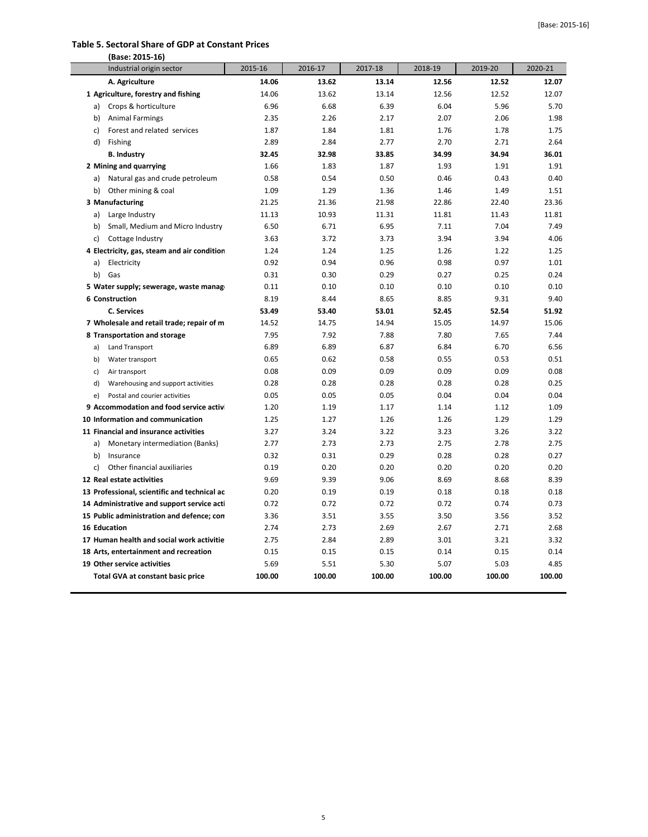#### **Table 5. Sectoral Share of GDP at Constant Prices**

| (Base: 2015-16)                          |                                              |         |         |         |         |         |         |
|------------------------------------------|----------------------------------------------|---------|---------|---------|---------|---------|---------|
| Industrial origin sector                 |                                              | 2015-16 | 2016-17 | 2017-18 | 2018-19 | 2019-20 | 2020-21 |
| A. Agriculture                           |                                              | 14.06   | 13.62   | 13.14   | 12.56   | 12.52   | 12.07   |
| 1 Agriculture, forestry and fishing      |                                              | 14.06   | 13.62   | 13.14   | 12.56   | 12.52   | 12.07   |
| a) Crops & horticulture                  |                                              | 6.96    | 6.68    | 6.39    | 6.04    | 5.96    | 5.70    |
| b)<br><b>Animal Farmings</b>             |                                              | 2.35    | 2.26    | 2.17    | 2.07    | 2.06    | 1.98    |
| c)                                       | Forest and related services                  | 1.87    | 1.84    | 1.81    | 1.76    | 1.78    | 1.75    |
| d)<br>Fishing                            |                                              | 2.89    | 2.84    | 2.77    | 2.70    | 2.71    | 2.64    |
| <b>B. Industry</b>                       |                                              | 32.45   | 32.98   | 33.85   | 34.99   | 34.94   | 36.01   |
| 2 Mining and quarrying                   |                                              | 1.66    | 1.83    | 1.87    | 1.93    | 1.91    | 1.91    |
| a)                                       | Natural gas and crude petroleum              | 0.58    | 0.54    | 0.50    | 0.46    | 0.43    | 0.40    |
| b) Other mining & coal                   |                                              | 1.09    | 1.29    | 1.36    | 1.46    | 1.49    | 1.51    |
| 3 Manufacturing                          |                                              | 21.25   | 21.36   | 21.98   | 22.86   | 22.40   | 23.36   |
| Large Industry<br>a)                     |                                              | 11.13   | 10.93   | 11.31   | 11.81   | 11.43   | 11.81   |
| b)                                       | Small, Medium and Micro Industry             | 6.50    | 6.71    | 6.95    | 7.11    | 7.04    | 7.49    |
| c) Cottage Industry                      |                                              | 3.63    | 3.72    | 3.73    | 3.94    | 3.94    | 4.06    |
|                                          | 4 Electricity, gas, steam and air condition  | 1.24    | 1.24    | 1.25    | 1.26    | 1.22    | 1.25    |
| Electricity<br>a)                        |                                              | 0.92    | 0.94    | 0.96    | 0.98    | 0.97    | 1.01    |
| b) Gas                                   |                                              | 0.31    | 0.30    | 0.29    | 0.27    | 0.25    | 0.24    |
|                                          | 5 Water supply; sewerage, waste manag        | 0.11    | 0.10    | 0.10    | 0.10    | 0.10    | 0.10    |
| 6 Construction                           |                                              | 8.19    | 8.44    | 8.65    | 8.85    | 9.31    | 9.40    |
| <b>C. Services</b>                       |                                              | 53.49   | 53.40   | 53.01   | 52.45   | 52.54   | 51.92   |
|                                          | 7 Wholesale and retail trade; repair of m    | 14.52   | 14.75   | 14.94   | 15.05   | 14.97   | 15.06   |
| 8 Transportation and storage             |                                              | 7.95    | 7.92    | 7.88    | 7.80    | 7.65    | 7.44    |
| Land Transport<br>a)                     |                                              | 6.89    | 6.89    | 6.87    | 6.84    | 6.70    | 6.56    |
| Water transport<br>b)                    |                                              | 0.65    | 0.62    | 0.58    | 0.55    | 0.53    | 0.51    |
| c)<br>Air transport                      |                                              | 0.08    | 0.09    | 0.09    | 0.09    | 0.09    | 0.08    |
| d)                                       | Warehousing and support activities           | 0.28    | 0.28    | 0.28    | 0.28    | 0.28    | 0.25    |
| Postal and courier activities<br>e)      |                                              | 0.05    | 0.05    | 0.05    | 0.04    | 0.04    | 0.04    |
|                                          | 9 Accommodation and food service activ       | 1.20    | 1.19    | 1.17    | 1.14    | 1.12    | 1.09    |
| 10 Information and communication         |                                              | 1.25    | 1.27    | 1.26    | 1.26    | 1.29    | 1.29    |
| 11 Financial and insurance activities    |                                              | 3.27    | 3.24    | 3.22    | 3.23    | 3.26    | 3.22    |
| a)                                       | Monetary intermediation (Banks)              | 2.77    | 2.73    | 2.73    | 2.75    | 2.78    | 2.75    |
| b)<br>Insurance                          |                                              | 0.32    | 0.31    | 0.29    | 0.28    | 0.28    | 0.27    |
| Other financial auxiliaries<br>c)        |                                              | 0.19    | 0.20    | 0.20    | 0.20    | 0.20    | 0.20    |
| 12 Real estate activities                |                                              | 9.69    | 9.39    | 9.06    | 8.69    | 8.68    | 8.39    |
|                                          | 13 Professional, scientific and technical ac | 0.20    | 0.19    | 0.19    | 0.18    | 0.18    | 0.18    |
|                                          | 14 Administrative and support service acti   | 0.72    | 0.72    | 0.72    | 0.72    | 0.74    | 0.73    |
|                                          | 15 Public administration and defence; con    | 3.36    | 3.51    | 3.55    | 3.50    | 3.56    | 3.52    |
| <b>16 Education</b>                      |                                              | 2.74    | 2.73    | 2.69    | 2.67    | 2.71    | 2.68    |
|                                          | 17 Human health and social work activitie    | 2.75    | 2.84    | 2.89    | 3.01    | 3.21    | 3.32    |
| 18 Arts, entertainment and recreation    |                                              | 0.15    | 0.15    | 0.15    | 0.14    | 0.15    | 0.14    |
| 19 Other service activities              |                                              | 5.69    | 5.51    | 5.30    | 5.07    | 5.03    | 4.85    |
| <b>Total GVA at constant basic price</b> |                                              | 100.00  | 100.00  | 100.00  | 100.00  | 100.00  | 100.00  |
|                                          |                                              |         |         |         |         |         |         |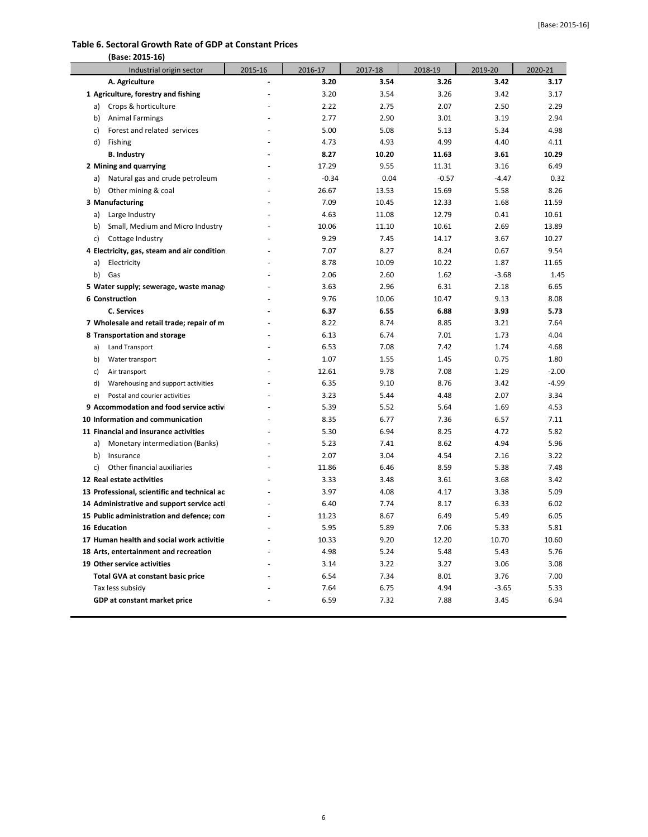#### **Table 6. Sectoral Growth Rate of GDP at Constant Prices**

| (Base: 2015-16)                              |                          |         |         |         |         |         |
|----------------------------------------------|--------------------------|---------|---------|---------|---------|---------|
| Industrial origin sector                     | 2015-16                  | 2016-17 | 2017-18 | 2018-19 | 2019-20 | 2020-21 |
| A. Agriculture                               | $\overline{\phantom{a}}$ | 3.20    | 3.54    | 3.26    | 3.42    | 3.17    |
| 1 Agriculture, forestry and fishing          |                          | 3.20    | 3.54    | 3.26    | 3.42    | 3.17    |
| Crops & horticulture<br>a)                   |                          | 2.22    | 2.75    | 2.07    | 2.50    | 2.29    |
| <b>Animal Farmings</b><br>b)                 |                          | 2.77    | 2.90    | 3.01    | 3.19    | 2.94    |
| Forest and related services<br>c)            |                          | 5.00    | 5.08    | 5.13    | 5.34    | 4.98    |
| d)<br>Fishing                                |                          | 4.73    | 4.93    | 4.99    | 4.40    | 4.11    |
| <b>B. Industry</b>                           |                          | 8.27    | 10.20   | 11.63   | 3.61    | 10.29   |
| 2 Mining and quarrying                       |                          | 17.29   | 9.55    | 11.31   | 3.16    | 6.49    |
| Natural gas and crude petroleum<br>a)        |                          | $-0.34$ | 0.04    | $-0.57$ | $-4.47$ | 0.32    |
| b) Other mining & coal                       |                          | 26.67   | 13.53   | 15.69   | 5.58    | 8.26    |
| 3 Manufacturing                              |                          | 7.09    | 10.45   | 12.33   | 1.68    | 11.59   |
| Large Industry<br>a)                         |                          | 4.63    | 11.08   | 12.79   | 0.41    | 10.61   |
| Small, Medium and Micro Industry<br>b)       |                          | 10.06   | 11.10   | 10.61   | 2.69    | 13.89   |
| c)<br>Cottage Industry                       |                          | 9.29    | 7.45    | 14.17   | 3.67    | 10.27   |
| 4 Electricity, gas, steam and air condition  |                          | 7.07    | 8.27    | 8.24    | 0.67    | 9.54    |
| a)<br>Electricity                            |                          | 8.78    | 10.09   | 10.22   | 1.87    | 11.65   |
| b)<br>Gas                                    |                          | 2.06    | 2.60    | 1.62    | $-3.68$ | 1.45    |
| 5 Water supply; sewerage, waste manag        |                          | 3.63    | 2.96    | 6.31    | 2.18    | 6.65    |
| <b>6 Construction</b>                        |                          | 9.76    | 10.06   | 10.47   | 9.13    | 8.08    |
| <b>C. Services</b>                           |                          | 6.37    | 6.55    | 6.88    | 3.93    | 5.73    |
| 7 Wholesale and retail trade; repair of m    |                          | 8.22    | 8.74    | 8.85    | 3.21    | 7.64    |
| 8 Transportation and storage                 |                          | 6.13    | 6.74    | 7.01    | 1.73    | 4.04    |
| Land Transport<br>a)                         |                          | 6.53    | 7.08    | 7.42    | 1.74    | 4.68    |
| Water transport<br>b)                        |                          | 1.07    | 1.55    | 1.45    | 0.75    | 1.80    |
| Air transport<br>c)                          |                          | 12.61   | 9.78    | 7.08    | 1.29    | $-2.00$ |
| d)<br>Warehousing and support activities     |                          | 6.35    | 9.10    | 8.76    | 3.42    | $-4.99$ |
| Postal and courier activities<br>e)          |                          | 3.23    | 5.44    | 4.48    | 2.07    | 3.34    |
| 9 Accommodation and food service activ       |                          | 5.39    | 5.52    | 5.64    | 1.69    | 4.53    |
| 10 Information and communication             |                          | 8.35    | 6.77    | 7.36    | 6.57    | 7.11    |
| 11 Financial and insurance activities        |                          | 5.30    | 6.94    | 8.25    | 4.72    | 5.82    |
| Monetary intermediation (Banks)<br>a)        |                          | 5.23    | 7.41    | 8.62    | 4.94    | 5.96    |
| b)<br>Insurance                              |                          | 2.07    | 3.04    | 4.54    | 2.16    | 3.22    |
| Other financial auxiliaries<br>c)            |                          | 11.86   | 6.46    | 8.59    | 5.38    | 7.48    |
| 12 Real estate activities                    |                          | 3.33    | 3.48    | 3.61    | 3.68    | 3.42    |
| 13 Professional, scientific and technical ac |                          | 3.97    | 4.08    | 4.17    | 3.38    | 5.09    |
| 14 Administrative and support service acti   |                          | 6.40    | 7.74    | 8.17    | 6.33    | 6.02    |
| 15 Public administration and defence; con    |                          | 11.23   | 8.67    | 6.49    | 5.49    | 6.05    |
| 16 Education                                 |                          | 5.95    | 5.89    | 7.06    | 5.33    | 5.81    |
| 17 Human health and social work activitie    |                          | 10.33   | 9.20    | 12.20   | 10.70   | 10.60   |
| 18 Arts, entertainment and recreation        |                          | 4.98    | 5.24    | 5.48    | 5.43    | 5.76    |
| 19 Other service activities                  |                          | 3.14    | 3.22    | 3.27    | 3.06    | 3.08    |
| <b>Total GVA at constant basic price</b>     |                          | 6.54    | 7.34    | 8.01    | 3.76    | 7.00    |
| Tax less subsidy                             |                          | 7.64    | 6.75    | 4.94    | $-3.65$ | 5.33    |
| GDP at constant market price                 |                          | 6.59    | 7.32    | 7.88    | 3.45    | 6.94    |
|                                              |                          |         |         |         |         |         |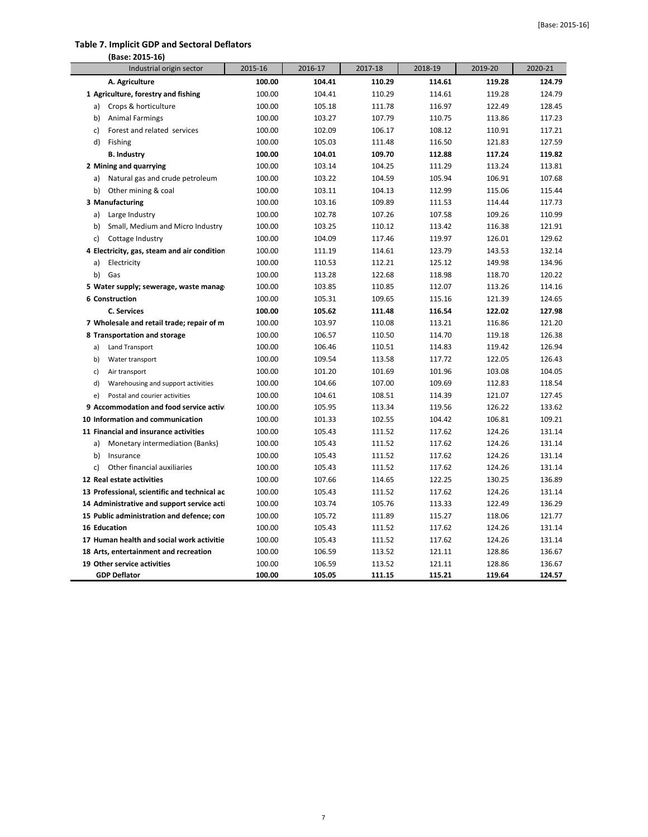#### **Table 7. Implicit GDP and Sectoral Deflators**

| (Base: 2015-16)                                    |                  |                  |                  |                  |                  |                  |
|----------------------------------------------------|------------------|------------------|------------------|------------------|------------------|------------------|
| Industrial origin sector                           | 2015-16          | 2016-17          | 2017-18          | 2018-19          | 2019-20          | 2020-21          |
| A. Agriculture                                     | 100.00           | 104.41           | 110.29           | 114.61           | 119.28           | 124.79           |
| 1 Agriculture, forestry and fishing                | 100.00           | 104.41           | 110.29           | 114.61           | 119.28           | 124.79           |
| Crops & horticulture<br>a)                         | 100.00           | 105.18           | 111.78           | 116.97           | 122.49           | 128.45           |
| b)<br><b>Animal Farmings</b>                       | 100.00           | 103.27           | 107.79           | 110.75           | 113.86           | 117.23           |
| Forest and related services<br>c)                  | 100.00           | 102.09           | 106.17           | 108.12           | 110.91           | 117.21           |
| d)<br>Fishing                                      | 100.00           | 105.03           | 111.48           | 116.50           | 121.83           | 127.59           |
| <b>B. Industry</b>                                 | 100.00           | 104.01           | 109.70           | 112.88           | 117.24           | 119.82           |
| 2 Mining and quarrying                             | 100.00           | 103.14           | 104.25           | 111.29           | 113.24           | 113.81           |
| Natural gas and crude petroleum<br>a)              | 100.00           | 103.22           | 104.59           | 105.94           | 106.91           | 107.68           |
| Other mining & coal<br>b)                          | 100.00           | 103.11           | 104.13           | 112.99           | 115.06           | 115.44           |
| 3 Manufacturing                                    | 100.00           | 103.16           | 109.89           | 111.53           | 114.44           | 117.73           |
| Large Industry<br>a)                               | 100.00           | 102.78           | 107.26           | 107.58           | 109.26           | 110.99           |
| Small, Medium and Micro Industry<br>b)             | 100.00           | 103.25           | 110.12           | 113.42           | 116.38           | 121.91           |
| c)<br>Cottage Industry                             | 100.00           | 104.09           | 117.46           | 119.97           | 126.01           | 129.62           |
| 4 Electricity, gas, steam and air condition        | 100.00           | 111.19           | 114.61           | 123.79           | 143.53           | 132.14           |
| a)<br>Electricity                                  | 100.00           | 110.53           | 112.21           | 125.12           | 149.98           | 134.96           |
| b)<br>Gas                                          | 100.00           | 113.28           | 122.68           | 118.98           | 118.70           | 120.22           |
| 5 Water supply; sewerage, waste manag              | 100.00           | 103.85           | 110.85           | 112.07           | 113.26           | 114.16           |
| <b>6 Construction</b>                              | 100.00           | 105.31           | 109.65           | 115.16           | 121.39           | 124.65           |
| C. Services                                        | 100.00           | 105.62           | 111.48           | 116.54           | 122.02           | 127.98           |
| 7 Wholesale and retail trade; repair of m          | 100.00           | 103.97           | 110.08           | 113.21           | 116.86           | 121.20           |
| 8 Transportation and storage                       | 100.00           | 106.57           | 110.50           | 114.70           | 119.18           | 126.38           |
| Land Transport<br>a)                               | 100.00           | 106.46           | 110.51           | 114.83           | 119.42           | 126.94           |
| b)<br>Water transport                              | 100.00           | 109.54           | 113.58           | 117.72           | 122.05           | 126.43           |
| c)<br>Air transport                                | 100.00           | 101.20           | 101.69           | 101.96           | 103.08           | 104.05           |
| d)<br>Warehousing and support activities           | 100.00           | 104.66           | 107.00           | 109.69           | 112.83           | 118.54           |
| e)<br>Postal and courier activities                | 100.00           | 104.61           | 108.51           | 114.39           | 121.07           | 127.45           |
| 9 Accommodation and food service activ             | 100.00           | 105.95           | 113.34           | 119.56           | 126.22           | 133.62           |
| 10 Information and communication                   | 100.00           | 101.33           | 102.55           | 104.42           | 106.81           | 109.21           |
| 11 Financial and insurance activities              | 100.00           | 105.43           | 111.52           | 117.62           | 124.26           | 131.14           |
| a)<br>Monetary intermediation (Banks)              | 100.00           | 105.43           | 111.52           | 117.62           | 124.26           | 131.14           |
| b)<br>Insurance                                    | 100.00           | 105.43           | 111.52           | 117.62           | 124.26           | 131.14           |
| Other financial auxiliaries<br>c)                  | 100.00           | 105.43           | 111.52           | 117.62           | 124.26           | 131.14           |
| 12 Real estate activities                          | 100.00           | 107.66           | 114.65           | 122.25           | 130.25           | 136.89           |
| 13 Professional, scientific and technical ac       | 100.00           | 105.43           | 111.52           | 117.62           | 124.26           | 131.14           |
| 14 Administrative and support service acti         | 100.00           | 103.74           | 105.76           | 113.33           | 122.49           | 136.29           |
| 15 Public administration and defence; con          | 100.00           | 105.72           | 111.89           | 115.27           | 118.06           | 121.77           |
| <b>16 Education</b>                                | 100.00           | 105.43           | 111.52           | 117.62           | 124.26           | 131.14           |
| 17 Human health and social work activitie          | 100.00           | 105.43           | 111.52           | 117.62           | 124.26           | 131.14           |
| 18 Arts, entertainment and recreation              | 100.00           | 106.59           | 113.52           | 121.11           | 128.86           | 136.67           |
| 19 Other service activities<br><b>GDP Deflator</b> | 100.00<br>100.00 | 106.59<br>105.05 | 113.52<br>111.15 | 121.11<br>115.21 | 128.86<br>119.64 | 136.67<br>124.57 |
|                                                    |                  |                  |                  |                  |                  |                  |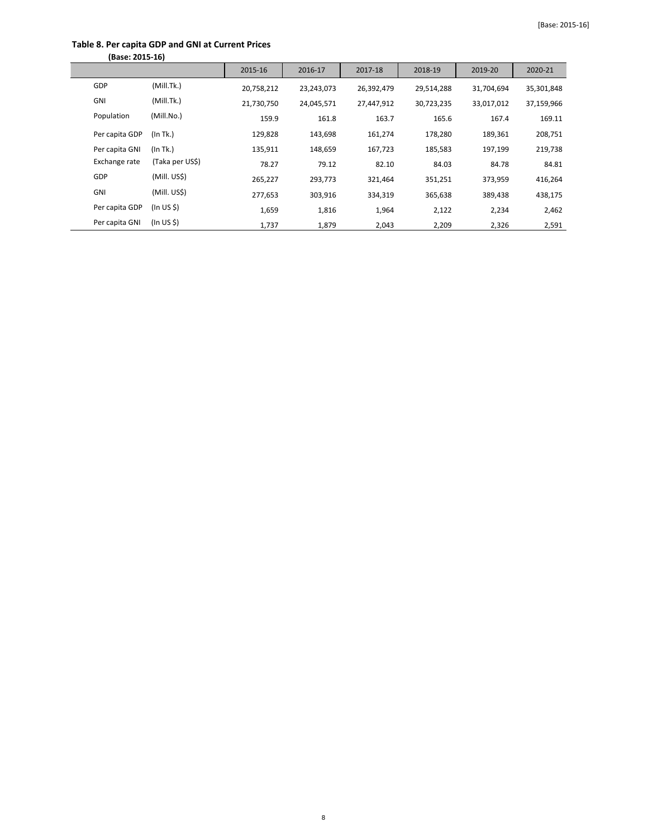## **Table 8. Per capita GDP and GNI at Current Prices**

| (Base: 2015-16) |                 |            |            |            |            |            |            |
|-----------------|-----------------|------------|------------|------------|------------|------------|------------|
|                 |                 | 2015-16    | 2016-17    | 2017-18    | 2018-19    | 2019-20    | 2020-21    |
| GDP             | (Mill.Tk.)      | 20,758,212 | 23,243,073 | 26,392,479 | 29,514,288 | 31,704,694 | 35,301,848 |
| <b>GNI</b>      | (Mill.Tk.)      | 21,730,750 | 24,045,571 | 27,447,912 | 30,723,235 | 33,017,012 | 37,159,966 |
| Population      | (Mill.No.)      | 159.9      | 161.8      | 163.7      | 165.6      | 167.4      | 169.11     |
| Per capita GDP  | (In Tk.)        | 129,828    | 143,698    | 161,274    | 178,280    | 189,361    | 208,751    |
| Per capita GNI  | (In Tk.)        | 135,911    | 148,659    | 167,723    | 185,583    | 197,199    | 219,738    |
| Exchange rate   | (Taka per US\$) | 78.27      | 79.12      | 82.10      | 84.03      | 84.78      | 84.81      |
| GDP             | (Mill. US\$)    | 265,227    | 293,773    | 321,464    | 351,251    | 373,959    | 416,264    |
| <b>GNI</b>      | (Mill. US\$)    | 277,653    | 303,916    | 334,319    | 365,638    | 389,438    | 438,175    |
| Per capita GDP  | (ln US \$)      | 1,659      | 1,816      | 1,964      | 2,122      | 2,234      | 2,462      |
| Per capita GNI  | (ln US \$)      | 1,737      | 1,879      | 2,043      | 2,209      | 2,326      | 2,591      |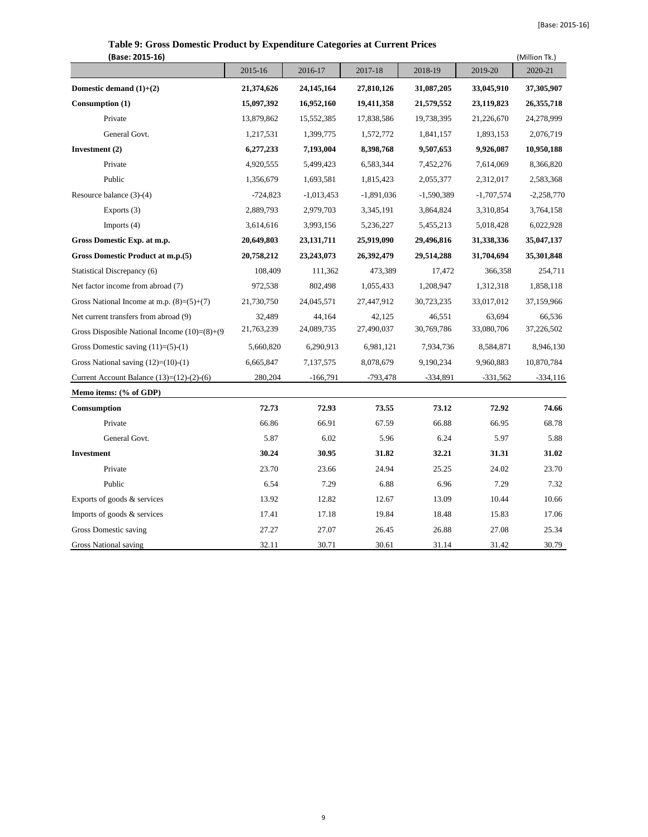| (Base: 2015-16)                                  |            |              |              |              |              | (Million Tk.) |
|--------------------------------------------------|------------|--------------|--------------|--------------|--------------|---------------|
|                                                  | 2015-16    | 2016-17      | 2017-18      | 2018-19      | 2019-20      | 2020-21       |
| Domestic demand $(1)+(2)$                        | 21,374,626 | 24,145,164   | 27,810,126   | 31,087,205   | 33,045,910   | 37,305,907    |
| Consumption (1)                                  | 15,097,392 | 16,952,160   | 19,411,358   | 21,579,552   | 23,119,823   | 26, 355, 718  |
| Private                                          | 13,879,862 | 15,552,385   | 17,838,586   | 19,738,395   | 21,226,670   | 24,278,999    |
| General Govt.                                    | 1,217,531  | 1,399,775    | 1,572,772    | 1,841,157    | 1,893,153    | 2,076,719     |
| Investment (2)                                   | 6,277,233  | 7,193,004    | 8,398,768    | 9,507,653    | 9,926,087    | 10,950,188    |
| Private                                          | 4,920,555  | 5,499,423    | 6,583,344    | 7,452,276    | 7,614,069    | 8,366,820     |
| Public                                           | 1,356,679  | 1,693,581    | 1,815,423    | 2,055,377    | 2,312,017    | 2,583,368     |
| Resource balance (3)-(4)                         | $-724,823$ | $-1,013,453$ | $-1,891,036$ | $-1,590,389$ | $-1,707,574$ | $-2,258,770$  |
| Exports (3)                                      | 2,889,793  | 2,979,703    | 3,345,191    | 3,864,824    | 3,310,854    | 3,764,158     |
| Imports $(4)$                                    | 3,614,616  | 3,993,156    | 5,236,227    | 5,455,213    | 5,018,428    | 6,022,928     |
| Gross Domestic Exp. at m.p.                      | 20,649,803 | 23, 131, 711 | 25,919,090   | 29,496,816   | 31,338,336   | 35,047,137    |
| Gross Domestic Product at m.p.(5)                | 20,758,212 | 23,243,073   | 26,392,479   | 29,514,288   | 31,704,694   | 35,301,848    |
| Statistical Discrepancy (6)                      | 108,409    | 111,362      | 473,389      | 17,472       | 366,358      | 254,711       |
| Net factor income from abroad (7)                | 972,538    | 802,498      | 1,055,433    | 1,208,947    | 1,312,318    | 1,858,118     |
| Gross National Income at m.p. $(8)=(5)+(7)$      | 21,730,750 | 24,045,571   | 27,447,912   | 30,723,235   | 33,017,012   | 37,159,966    |
| Net current transfers from abroad (9)            | 32,489     | 44,164       | 42,125       | 46,551       | 63,694       | 66,536        |
| Gross Disposible National Income $(10)= (8)+(9)$ | 21,763,239 | 24,089,735   | 27,490,037   | 30,769,786   | 33,080,706   | 37,226,502    |
| Gross Domestic saving $(11)= (5)-(1)$            | 5,660,820  | 6,290,913    | 6,981,121    | 7,934,736    | 8,584,871    | 8,946,130     |
| Gross National saving $(12)=(10)-(1)$            | 6,665,847  | 7,137,575    | 8,078,679    | 9,190,234    | 9,960,883    | 10,870,784    |
| Current Account Balance $(13)=(12)-(2)-(6)$      | 280,204    | $-166,791$   | $-793,478$   | $-334,891$   | $-331,562$   | $-334,116$    |
| Memo items: (% of GDP)                           |            |              |              |              |              |               |
| Comsumption                                      | 72.73      | 72.93        | 73.55        | 73.12        | 72.92        | 74.66         |
| Private                                          | 66.86      | 66.91        | 67.59        | 66.88        | 66.95        | 68.78         |
| General Govt.                                    | 5.87       | 6.02         | 5.96         | 6.24         | 5.97         | 5.88          |
| <b>Investment</b>                                | 30.24      | 30.95        | 31.82        | 32.21        | 31.31        | 31.02         |
| Private                                          | 23.70      | 23.66        | 24.94        | 25.25        | 24.02        | 23.70         |
| Public                                           | 6.54       | 7.29         | 6.88         | 6.96         | 7.29         | 7.32          |
| Exports of goods & services                      | 13.92      | 12.82        | 12.67        | 13.09        | 10.44        | 10.66         |
| Imports of goods & services                      | 17.41      | 17.18        | 19.84        | 18.48        | 15.83        | 17.06         |
| Gross Domestic saving                            | 27.27      | 27.07        | 26.45        | 26.88        | 27.08        | 25.34         |
| <b>Gross National saving</b>                     | 32.11      | 30.71        | 30.61        | 31.14        | 31.42        | 30.79         |

# **Table 9: Gross Domestic Product by Expenditure Categories at Current Prices**